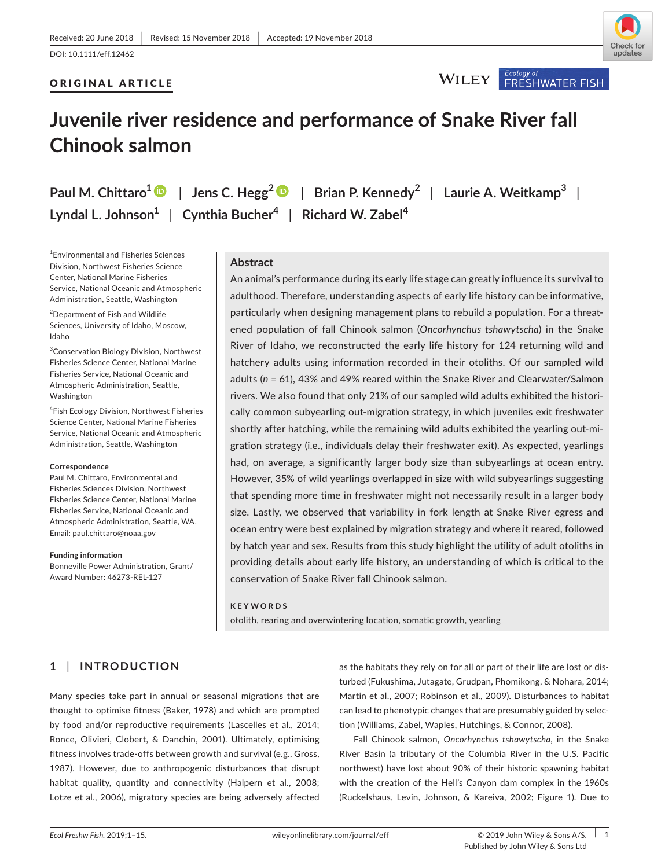# Check for undates

## ORIGINAL ARTICLE



## **Juvenile river residence and performance of Snake River fall Chinook salmon**

**Paul M. Chittaro<sup>1</sup>** | **Jens C. Hegg<sup>2</sup>** | **Brian P. Kennedy<sup>2</sup>** | **Laurie A. Weitkamp<sup>3</sup>** | **Lyndal L. Johnson<sup>1</sup>** | **Cynthia Bucher<sup>4</sup>** | **Richard W. Zabel<sup>4</sup>**

1 Environmental and Fisheries Sciences Division, Northwest Fisheries Science Center, National Marine Fisheries Service, National Oceanic and Atmospheric Administration, Seattle, Washington

2 Department of Fish and Wildlife Sciences, University of Idaho, Moscow, Idaho

3 Conservation Biology Division, Northwest Fisheries Science Center, National Marine Fisheries Service, National Oceanic and Atmospheric Administration, Seattle, Washington

4 Fish Ecology Division, Northwest Fisheries Science Center, National Marine Fisheries Service, National Oceanic and Atmospheric Administration, Seattle, Washington

#### **Correspondence**

Paul M. Chittaro, Environmental and Fisheries Sciences Division, Northwest Fisheries Science Center, National Marine Fisheries Service, National Oceanic and Atmospheric Administration, Seattle, WA. Email: [paul.chittaro@noaa.gov](mailto:paul.chittaro@noaa.gov)

**Funding information** Bonneville Power Administration, Grant/ Award Number: 46273-REL-127

## **Abstract**

An animal's performance during its early life stage can greatly influence its survival to adulthood. Therefore, understanding aspects of early life history can be informative, particularly when designing management plans to rebuild a population. For a threat‐ ened population of fall Chinook salmon (*Oncorhynchus tshawytscha*) in the Snake River of Idaho, we reconstructed the early life history for 124 returning wild and hatchery adults using information recorded in their otoliths. Of our sampled wild adults (*n* = 61), 43% and 49% reared within the Snake River and Clearwater/Salmon rivers. We also found that only 21% of our sampled wild adults exhibited the histori‐ cally common subyearling out-migration strategy, in which juveniles exit freshwater shortly after hatching, while the remaining wild adults exhibited the yearling out-migration strategy (i.e., individuals delay their freshwater exit). As expected, yearlings had, on average, a significantly larger body size than subyearlings at ocean entry. However, 35% of wild yearlings overlapped in size with wild subyearlings suggesting that spending more time in freshwater might not necessarily result in a larger body size. Lastly, we observed that variability in fork length at Snake River egress and ocean entry were best explained by migration strategy and where it reared, followed by hatch year and sex. Results from this study highlight the utility of adult otoliths in providing details about early life history, an understanding of which is critical to the conservation of Snake River fall Chinook salmon.

#### **KEYWORDS**

otolith, rearing and overwintering location, somatic growth, yearling

## **1** | **INTRODUCTION**

Many species take part in annual or seasonal migrations that are thought to optimise fitness (Baker, 1978) and which are prompted by food and/or reproductive requirements (Lascelles et al., 2014; Ronce, Olivieri, Clobert, & Danchin, 2001). Ultimately, optimising fitness involves trade‐offs between growth and survival (e.g., Gross, 1987). However, due to anthropogenic disturbances that disrupt habitat quality, quantity and connectivity (Halpern et al., 2008; Lotze et al., 2006), migratory species are being adversely affected

as the habitats they rely on for all or part of their life are lost or dis‐ turbed (Fukushima, Jutagate, Grudpan, Phomikong, & Nohara, 2014; Martin et al., 2007; Robinson et al., 2009). Disturbances to habitat can lead to phenotypic changes that are presumably guided by selec‐ tion (Williams, Zabel, Waples, Hutchings, & Connor, 2008).

Fall Chinook salmon, *Oncorhynchus tshawytscha*, in the Snake River Basin (a tributary of the Columbia River in the U.S. Pacific northwest) have lost about 90% of their historic spawning habitat with the creation of the Hell's Canyon dam complex in the 1960s (Ruckelshaus, Levin, Johnson, & Kareiva, 2002; Figure 1). Due to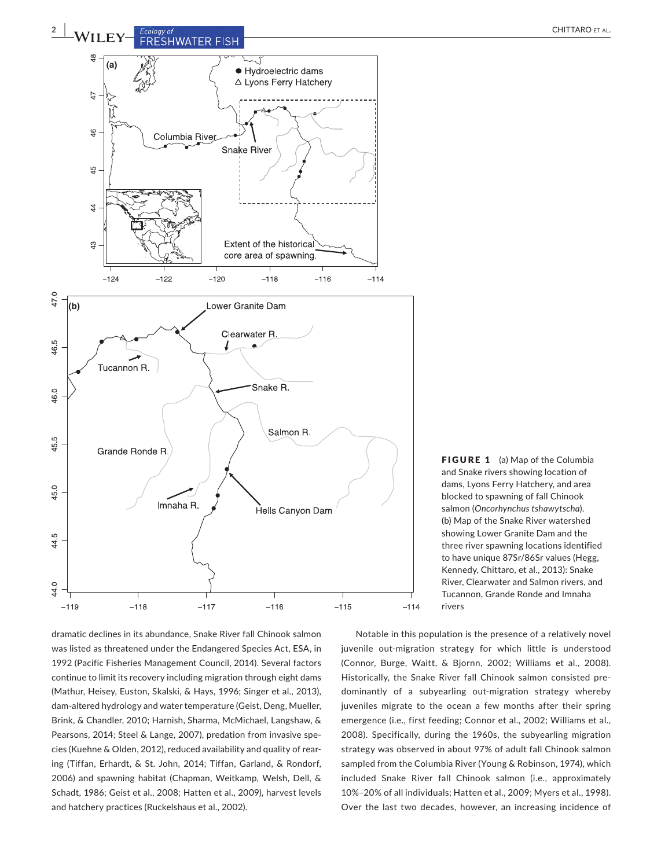

dramatic declines in its abundance, Snake River fall Chinook salmon was listed as threatened under the Endangered Species Act, ESA, in 1992 (Pacific Fisheries Management Council, 2014). Several factors continue to limit its recovery including migration through eight dams (Mathur, Heisey, Euston, Skalski, & Hays, 1996; Singer et al., 2013), dam‐altered hydrology and water temperature (Geist, Deng, Mueller, Brink, & Chandler, 2010; Harnish, Sharma, McMichael, Langshaw, & Pearsons, 2014; Steel & Lange, 2007), predation from invasive spe‐ cies (Kuehne & Olden, 2012), reduced availability and quality of rear‐ ing (Tiffan, Erhardt, & St. John, 2014; Tiffan, Garland, & Rondorf, 2006) and spawning habitat (Chapman, Weitkamp, Welsh, Dell, & Schadt, 1986; Geist et al., 2008; Hatten et al., 2009), harvest levels and hatchery practices (Ruckelshaus et al., 2002).

FIGURE 1 (a) Map of the Columbia and Snake rivers showing location of dams, Lyons Ferry Hatchery, and area blocked to spawning of fall Chinook salmon (*Oncorhynchus tshawytscha*). (b) Map of the Snake River watershed showing Lower Granite Dam and the three river spawning locations identified to have unique 87Sr/86Sr values (Hegg, Kennedy, Chittaro, et al., 2013): Snake River, Clearwater and Salmon rivers, and Tucannon, Grande Ronde and Imnaha rivers

Notable in this population is the presence of a relatively novel juvenile out-migration strategy for which little is understood (Connor, Burge, Waitt, & Bjornn, 2002; Williams et al., 2008). Historically, the Snake River fall Chinook salmon consisted pre‐ dominantly of a subyearling out‐migration strategy whereby juveniles migrate to the ocean a few months after their spring emergence (i.e., first feeding; Connor et al., 2002; Williams et al., 2008). Specifically, during the 1960s, the subyearling migration strategy was observed in about 97% of adult fall Chinook salmon sampled from the Columbia River (Young & Robinson, 1974), which included Snake River fall Chinook salmon (i.e., approximately 10%–20% of all individuals; Hatten et al., 2009; Myers et al., 1998). Over the last two decades, however, an increasing incidence of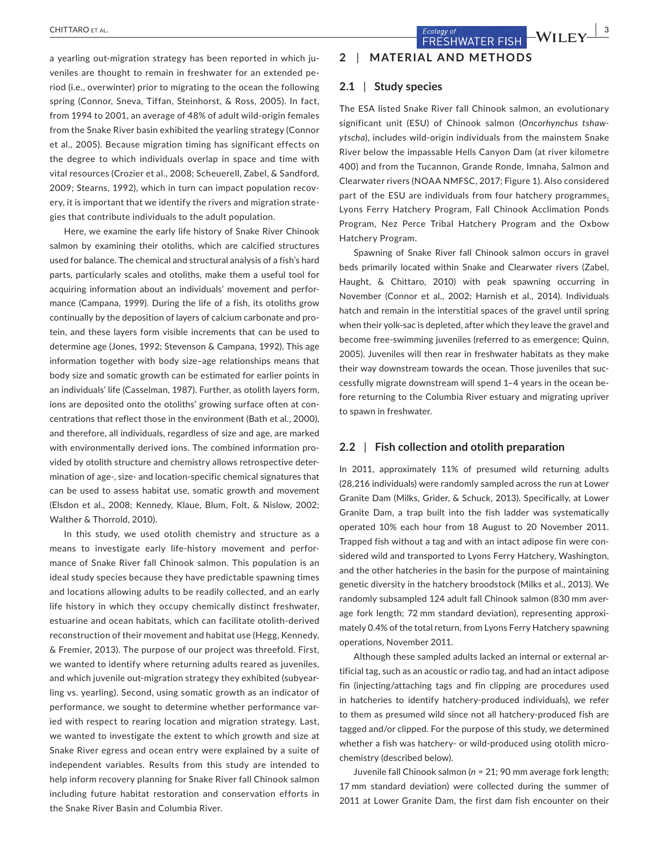**CHITTARO** ET AL. **1998** ECOLOGY OF **COLOGY OF COLOGY OF PISH WILEY**  $\frac{1}{3}$ 

a yearling out-migration strategy has been reported in which juveniles are thought to remain in freshwater for an extended pe‐ riod (i.e., overwinter) prior to migrating to the ocean the following spring (Connor, Sneva, Tiffan, Steinhorst, & Ross, 2005). In fact, from 1994 to 2001, an average of 48% of adult wild‐origin females from the Snake River basin exhibited the yearling strategy (Connor et al., 2005). Because migration timing has significant effects on the degree to which individuals overlap in space and time with vital resources (Crozier et al., 2008; Scheuerell, Zabel, & Sandford, 2009; Stearns, 1992), which in turn can impact population recov‐ ery, it is important that we identify the rivers and migration strate‐ gies that contribute individuals to the adult population.

Here, we examine the early life history of Snake River Chinook salmon by examining their otoliths, which are calcified structures used for balance. The chemical and structural analysis of a fish's hard parts, particularly scales and otoliths, make them a useful tool for acquiring information about an individuals' movement and perfor‐ mance (Campana, 1999). During the life of a fish, its otoliths grow continually by the deposition of layers of calcium carbonate and pro‐ tein, and these layers form visible increments that can be used to determine age (Jones, 1992; Stevenson & Campana, 1992). This age information together with body size–age relationships means that body size and somatic growth can be estimated for earlier points in an individuals' life (Casselman, 1987). Further, as otolith layers form, ions are deposited onto the otoliths' growing surface often at concentrations that reflect those in the environment (Bath et al., 2000), and therefore, all individuals, regardless of size and age, are marked with environmentally derived ions. The combined information provided by otolith structure and chemistry allows retrospective deter‐ mination of age‐, size‐ and location‐specific chemical signatures that can be used to assess habitat use, somatic growth and movement (Elsdon et al., 2008; Kennedy, Klaue, Blum, Folt, & Nislow, 2002; Walther & Thorrold, 2010).

In this study, we used otolith chemistry and structure as a means to investigate early life-history movement and performance of Snake River fall Chinook salmon. This population is an ideal study species because they have predictable spawning times and locations allowing adults to be readily collected, and an early life history in which they occupy chemically distinct freshwater, estuarine and ocean habitats, which can facilitate otolith‐derived reconstruction of their movement and habitat use (Hegg, Kennedy, & Fremier, 2013). The purpose of our project was threefold. First, we wanted to identify where returning adults reared as juveniles, and which juvenile out-migration strategy they exhibited (subyearling vs. yearling). Second, using somatic growth as an indicator of performance, we sought to determine whether performance varied with respect to rearing location and migration strategy. Last, we wanted to investigate the extent to which growth and size at Snake River egress and ocean entry were explained by a suite of independent variables. Results from this study are intended to help inform recovery planning for Snake River fall Chinook salmon including future habitat restoration and conservation efforts in the Snake River Basin and Columbia River.

## **2** | **MATERIAL AND METHODS**

#### **2.1** | **Study species**

The ESA listed Snake River fall Chinook salmon, an evolutionary significant unit (ESU) of Chinook salmon (*Oncorhynchus tshaw‐ ytscha*), includes wild‐origin individuals from the mainstem Snake River below the impassable Hells Canyon Dam (at river kilometre 400) and from the Tucannon, Grande Ronde, Imnaha, Salmon and Clearwater rivers (NOAA NMFSC, 2017; Figure 1). Also considered part of the ESU are individuals from four hatchery programmes, Lyons Ferry Hatchery Program, Fall Chinook Acclimation Ponds Program, Nez Perce Tribal Hatchery Program and the Oxbow Hatchery Program.

Spawning of Snake River fall Chinook salmon occurs in gravel beds primarily located within Snake and Clearwater rivers (Zabel, Haught, & Chittaro, 2010) with peak spawning occurring in November (Connor et al., 2002; Harnish et al., 2014). Individuals hatch and remain in the interstitial spaces of the gravel until spring when their yolk‐sac is depleted, after which they leave the gravel and become free-swimming juveniles (referred to as emergence; Quinn, 2005). Juveniles will then rear in freshwater habitats as they make their way downstream towards the ocean. Those juveniles that suc‐ cessfully migrate downstream will spend 1–4 years in the ocean be‐ fore returning to the Columbia River estuary and migrating upriver to spawn in freshwater.

#### **2.2** | **Fish collection and otolith preparation**

In 2011, approximately 11% of presumed wild returning adults (28,216 individuals) were randomly sampled across the run at Lower Granite Dam (Milks, Grider, & Schuck, 2013). Specifically, at Lower Granite Dam, a trap built into the fish ladder was systematically operated 10% each hour from 18 August to 20 November 2011. Trapped fish without a tag and with an intact adipose fin were con‐ sidered wild and transported to Lyons Ferry Hatchery, Washington, and the other hatcheries in the basin for the purpose of maintaining genetic diversity in the hatchery broodstock (Milks et al., 2013). We randomly subsampled 124 adult fall Chinook salmon (830 mm aver‐ age fork length: 72 mm standard deviation), representing approximately 0.4% of the total return, from Lyons Ferry Hatchery spawning operations, November 2011.

Although these sampled adults lacked an internal or external ar‐ tificial tag, such as an acoustic or radio tag, and had an intact adipose fin (injecting/attaching tags and fin clipping are procedures used in hatcheries to identify hatchery-produced individuals), we refer to them as presumed wild since not all hatchery‐produced fish are tagged and/or clipped. For the purpose of this study, we determined whether a fish was hatchery- or wild-produced using otolith microchemistry (described below).

Juvenile fall Chinook salmon (*n* = 21; 90 mm average fork length; 17 mm standard deviation) were collected during the summer of 2011 at Lower Granite Dam, the first dam fish encounter on their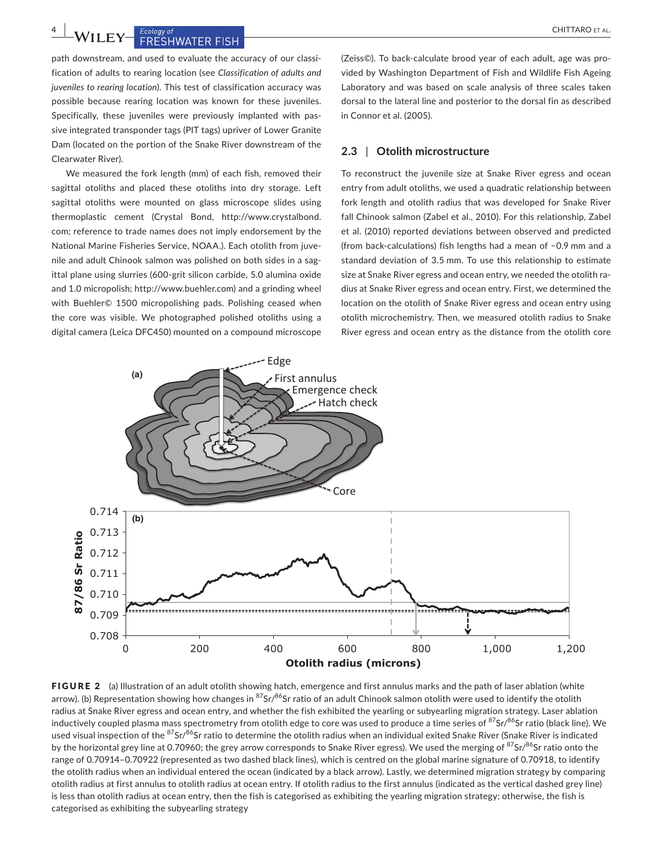**4 a** *LANTIFING EXCOLUSION OF AL.* 

path downstream, and used to evaluate the accuracy of our classification of adults to rearing location (see *Classification of adults and juveniles to rearing location*). This test of classification accuracy was possible because rearing location was known for these juveniles. Specifically, these juveniles were previously implanted with passive integrated transponder tags (PIT tags) upriver of Lower Granite Dam (located on the portion of the Snake River downstream of the Clearwater River).

We measured the fork length (mm) of each fish, removed their sagittal otoliths and placed these otoliths into dry storage. Left sagittal otoliths were mounted on glass microscope slides using thermoplastic cement (Crystal Bond, [http://www.crystalbond.](http://www.crystalbond.com) [com;](http://www.crystalbond.com) reference to trade names does not imply endorsement by the National Marine Fisheries Service, NOAA.). Each otolith from juve‐ nile and adult Chinook salmon was polished on both sides in a sag‐ ittal plane using slurries (600‐grit silicon carbide, 5.0 alumina oxide and 1.0 micropolish;<http://www.buehler.com>) and a grinding wheel with Buehler© 1500 micropolishing pads. Polishing ceased when the core was visible. We photographed polished otoliths using a digital camera (Leica DFC450) mounted on a compound microscope

(Zeiss©). To back‐calculate brood year of each adult, age was pro‐ vided by Washington Department of Fish and Wildlife Fish Ageing Laboratory and was based on scale analysis of three scales taken dorsal to the lateral line and posterior to the dorsal fin as described in Connor et al. (2005).

#### **2.3** | **Otolith microstructure**

To reconstruct the juvenile size at Snake River egress and ocean entry from adult otoliths, we used a quadratic relationship between fork length and otolith radius that was developed for Snake River fall Chinook salmon (Zabel et al., 2010). For this relationship, Zabel et al. (2010) reported deviations between observed and predicted (from back‐calculations) fish lengths had a mean of −0.9 mm and a standard deviation of 3.5 mm. To use this relationship to estimate size at Snake River egress and ocean entry, we needed the otolith radius at Snake River egress and ocean entry. First, we determined the location on the otolith of Snake River egress and ocean entry using otolith microchemistry. Then, we measured otolith radius to Snake River egress and ocean entry as the distance from the otolith core



FIGURE 2 (a) Illustration of an adult otolith showing hatch, emergence and first annulus marks and the path of laser ablation (white arrow). (b) Representation showing how changes in  ${}^{87}Sr/{}^{86}Sr$  ratio of an adult Chinook salmon otolith were used to identify the otolith radius at Snake River egress and ocean entry, and whether the fish exhibited the yearling or subyearling migration strategy. Laser ablation inductively coupled plasma mass spectrometry from otolith edge to core was used to produce a time series of  ${}^{87}Sr/{}^{86}Sr$  ratio (black line). We used visual inspection of the <sup>87</sup>Sr/<sup>86</sup>Sr ratio to determine the otolith radius when an individual exited Snake River (Snake River is indicated by the horizontal grey line at 0.70960; the grey arrow corresponds to Snake River egress). We used the merging of  $87$ Sr/ $86$ Sr ratio onto the range of 0.70914–0.70922 (represented as two dashed black lines), which is centred on the global marine signature of 0.70918, to identify the otolith radius when an individual entered the ocean (indicated by a black arrow). Lastly, we determined migration strategy by comparing otolith radius at first annulus to otolith radius at ocean entry. If otolith radius to the first annulus (indicated as the vertical dashed grey line) is less than otolith radius at ocean entry, then the fish is categorised as exhibiting the yearling migration strategy; otherwise, the fish is categorised as exhibiting the subyearling strategy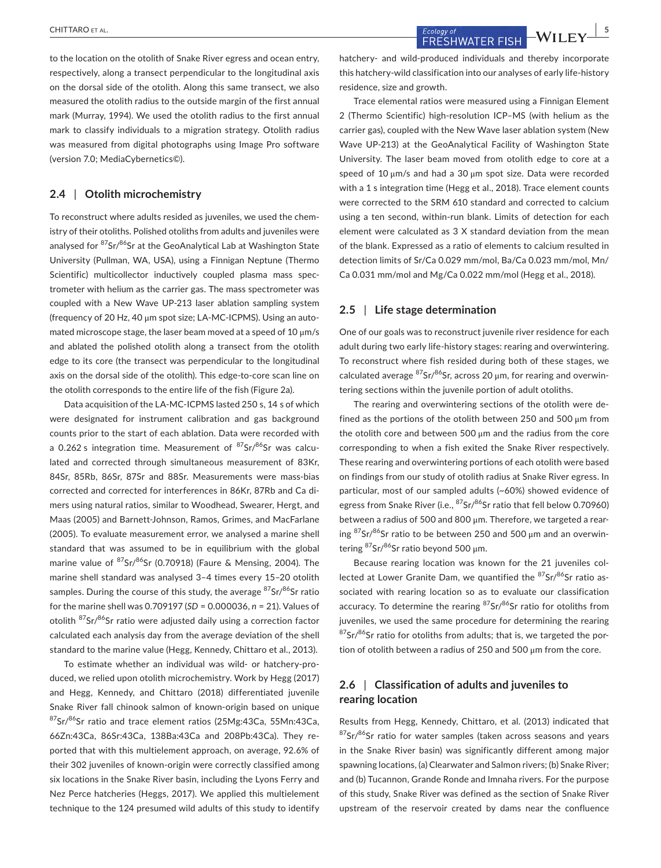**ECOLOGY OF AL.** ECOLOGY OF THE SECOLOGY OF THE SECOLOGY OF THE SECOLOGY OF THE SECOLOGY OF THE SECOLOGY OF THE SECOLOGY OF THE SECOLOGY OF THE SECOLOGY OF THE SECOLOGY OF THE SECOLOGY OF THE SECOLOGY OF THE SECOLOGY OF T

to the location on the otolith of Snake River egress and ocean entry, respectively, along a transect perpendicular to the longitudinal axis on the dorsal side of the otolith. Along this same transect, we also measured the otolith radius to the outside margin of the first annual mark (Murray, 1994). We used the otolith radius to the first annual mark to classify individuals to a migration strategy. Otolith radius was measured from digital photographs using Image Pro software (version 7.0; MediaCybernetics©).

### **2.4** | **Otolith microchemistry**

To reconstruct where adults resided as juveniles, we used the chem‐ istry of their otoliths. Polished otoliths from adults and juveniles were analysed for <sup>87</sup>Sr/<sup>86</sup>Sr at the GeoAnalytical Lab at Washington State University (Pullman, WA, USA), using a Finnigan Neptune (Thermo Scientific) multicollector inductively coupled plasma mass spectrometer with helium as the carrier gas. The mass spectrometer was coupled with a New Wave UP‐213 laser ablation sampling system (frequency of 20 Hz, 40 μm spot size; LA‐MC‐ICPMS). Using an auto‐ mated microscope stage, the laser beam moved at a speed of 10 μm/s and ablated the polished otolith along a transect from the otolith edge to its core (the transect was perpendicular to the longitudinal axis on the dorsal side of the otolith). This edge-to-core scan line on the otolith corresponds to the entire life of the fish (Figure 2a).

Data acquisition of the LA‐MC‐ICPMS lasted 250 s, 14 s of which were designated for instrument calibration and gas background counts prior to the start of each ablation. Data were recorded with a 0.262 s integration time. Measurement of  $87$ Sr/ $86$ Sr was calculated and corrected through simultaneous measurement of 83Kr, 84Sr, 85Rb, 86Sr, 87Sr and 88Sr. Measurements were mass‐bias corrected and corrected for interferences in 86Kr, 87Rb and Ca di‐ mers using natural ratios, similar to Woodhead, Swearer, Hergt, and Maas (2005) and Barnett‐Johnson, Ramos, Grimes, and MacFarlane (2005). To evaluate measurement error, we analysed a marine shell standard that was assumed to be in equilibrium with the global marine value of  ${}^{87}Sr/{}^{86}Sr$  (0.70918) (Faure & Mensing, 2004). The marine shell standard was analysed 3–4 times every 15–20 otolith samples. During the course of this study, the average  $87$ Sr $/86$ Sr ratio for the marine shell was 0.709197 (*SD* = 0.000036, *n* = 21). Values of otolith 87Sr/86Sr ratio were adjusted daily using a correction factor calculated each analysis day from the average deviation of the shell standard to the marine value (Hegg, Kennedy, Chittaro et al., 2013).

To estimate whether an individual was wild‐ or hatchery‐pro‐ duced, we relied upon otolith microchemistry. Work by Hegg (2017) and Hegg, Kennedy, and Chittaro (2018) differentiated juvenile Snake River fall chinook salmon of known‐origin based on unique 87Sr/86Sr ratio and trace element ratios (25Mg: 43Ca, 55Mn: 43Ca, 66Zn:43Ca, 86Sr:43Ca, 138Ba:43Ca and 208Pb:43Ca). They re‐ ported that with this multielement approach, on average, 92.6% of their 302 juveniles of known‐origin were correctly classified among six locations in the Snake River basin, including the Lyons Ferry and Nez Perce hatcheries (Heggs, 2017). We applied this multielement technique to the 124 presumed wild adults of this study to identify hatchery- and wild-produced individuals and thereby incorporate this hatchery‐wild classification into our analyses of early life‐history residence, size and growth.

Trace elemental ratios were measured using a Finnigan Element 2 (Thermo Scientific) high‐resolution ICP–MS (with helium as the carrier gas), coupled with the New Wave laser ablation system (New Wave UP‐213) at the GeoAnalytical Facility of Washington State University. The laser beam moved from otolith edge to core at a speed of 10 μm/s and had a 30 μm spot size. Data were recorded with a 1 s integration time (Hegg et al., 2018). Trace element counts were corrected to the SRM 610 standard and corrected to calcium using a ten second, within‐run blank. Limits of detection for each element were calculated as 3 X standard deviation from the mean of the blank. Expressed as a ratio of elements to calcium resulted in detection limits of Sr/Ca 0.029 mm/mol, Ba/Ca 0.023 mm/mol, Mn/ Ca 0.031 mm/mol and Mg/Ca 0.022 mm/mol (Hegg et al., 2018).

#### **2.5** | **Life stage determination**

One of our goals was to reconstruct juvenile river residence for each adult during two early life-history stages: rearing and overwintering. To reconstruct where fish resided during both of these stages, we calculated average  ${}^{87}Sr/{}^{86}Sr$ , across 20  $\mu$ m, for rearing and overwintering sections within the juvenile portion of adult otoliths.

The rearing and overwintering sections of the otolith were de‐ fined as the portions of the otolith between 250 and 500 μm from the otolith core and between 500  $\mu$ m and the radius from the core corresponding to when a fish exited the Snake River respectively. These rearing and overwintering portions of each otolith were based on findings from our study of otolith radius at Snake River egress. In particular, most of our sampled adults (~60%) showed evidence of egress from Snake River (i.e.,  ${}^{87}Sr/{}^{86}Sr$  ratio that fell below 0.70960) between a radius of 500 and 800 μm. Therefore, we targeted a rearing  ${}^{87}$ Sr/ ${}^{86}$ Sr ratio to be between 250 and 500 µm and an overwintering  ${}^{87}$ Sr/ ${}^{86}$ Sr ratio beyond 500 µm.

Because rearing location was known for the 21 juveniles col‐ lected at Lower Granite Dam, we quantified the 87Sr/86Sr ratio associated with rearing location so as to evaluate our classification accuracy. To determine the rearing  $87$ Sr/ $86$ Sr ratio for otoliths from juveniles, we used the same procedure for determining the rearing  $87$ Sr/ $86$ Sr ratio for otoliths from adults; that is, we targeted the portion of otolith between a radius of 250 and 500 μm from the core.

## **2.6** | **Classification of adults and juveniles to rearing location**

Results from Hegg, Kennedy, Chittaro, et al. (2013) indicated that  $87$ Sr/ $86$ Sr ratio for water samples (taken across seasons and years in the Snake River basin) was significantly different among major spawning locations, (a) Clearwater and Salmon rivers; (b) Snake River; and (b) Tucannon, Grande Ronde and Imnaha rivers. For the purpose of this study, Snake River was defined as the section of Snake River upstream of the reservoir created by dams near the confluence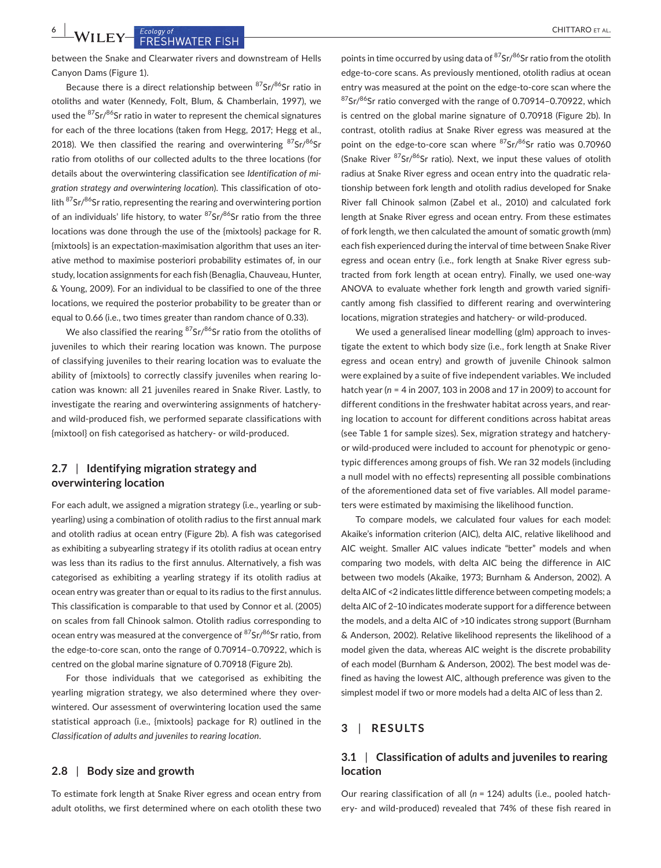## **6 |**  CHITTARO et al.

between the Snake and Clearwater rivers and downstream of Hells Canyon Dams (Figure 1).

Because there is a direct relationship between  $87$ Sr/ $86$ Sr ratio in otoliths and water (Kennedy, Folt, Blum, & Chamberlain, 1997), we used the  $87$ Sr/ $86$ Sr ratio in water to represent the chemical signatures for each of the three locations (taken from Hegg, 2017; Hegg et al., 2018). We then classified the rearing and overwintering  $87$ Sr/ $86$ Sr ratio from otoliths of our collected adults to the three locations (for details about the overwintering classification see *Identification of mi‐ gration strategy and overwintering location*). This classification of oto‐ lith  $87$ Sr/ $86$ Sr ratio, representing the rearing and overwintering portion of an individuals' life history, to water  $87$ Sr/ $86$ Sr ratio from the three locations was done through the use of the {mixtools} package for R. {mixtools} is an expectation‐maximisation algorithm that uses an iter‐ ative method to maximise posteriori probability estimates of, in our study, location assignments for each fish (Benaglia, Chauveau, Hunter, & Young, 2009). For an individual to be classified to one of the three locations, we required the posterior probability to be greater than or equal to 0.66 (i.e., two times greater than random chance of 0.33).

We also classified the rearing  $87$ Sr/ $86$ Sr ratio from the otoliths of juveniles to which their rearing location was known. The purpose of classifying juveniles to their rearing location was to evaluate the ability of {mixtools} to correctly classify juveniles when rearing lo‐ cation was known: all 21 juveniles reared in Snake River. Lastly, to investigate the rearing and overwintering assignments of hatchery‐ and wild‐produced fish, we performed separate classifications with {mixtool} on fish categorised as hatchery‐ or wild‐produced.

## **2.7** | **Identifying migration strategy and overwintering location**

For each adult, we assigned a migration strategy (i.e., yearling or sub‐ yearling) using a combination of otolith radius to the first annual mark and otolith radius at ocean entry (Figure 2b). A fish was categorised as exhibiting a subyearling strategy if its otolith radius at ocean entry was less than its radius to the first annulus. Alternatively, a fish was categorised as exhibiting a yearling strategy if its otolith radius at ocean entry was greater than or equal to its radius to the first annulus. This classification is comparable to that used by Connor et al. (2005) on scales from fall Chinook salmon. Otolith radius corresponding to ocean entry was measured at the convergence of <sup>87</sup>Sr/<sup>86</sup>Sr ratio, from the edge-to-core scan, onto the range of 0.70914-0.70922, which is centred on the global marine signature of 0.70918 (Figure 2b).

For those individuals that we categorised as exhibiting the yearling migration strategy, we also determined where they over‐ wintered. Our assessment of overwintering location used the same statistical approach (i.e., {mixtools} package for R) outlined in the *Classification of adults and juveniles to rearing location*.

## **2.8** | **Body size and growth**

To estimate fork length at Snake River egress and ocean entry from adult otoliths, we first determined where on each otolith these two

points in time occurred by using data of  $87$ Sr $/86$ Sr ratio from the otolith edge‐to‐core scans. As previously mentioned, otolith radius at ocean entry was measured at the point on the edge-to-core scan where the  $87$ Sr/ $86$ Sr ratio converged with the range of 0.70914-0.70922, which is centred on the global marine signature of 0.70918 (Figure 2b). In contrast, otolith radius at Snake River egress was measured at the point on the edge-to-core scan where  $87$ Sr $/86$ Sr ratio was 0.70960 (Snake River <sup>87</sup>Sr/<sup>86</sup>Sr ratio). Next, we input these values of otolith radius at Snake River egress and ocean entry into the quadratic rela‐ tionship between fork length and otolith radius developed for Snake River fall Chinook salmon (Zabel et al., 2010) and calculated fork length at Snake River egress and ocean entry. From these estimates of fork length, we then calculated the amount of somatic growth (mm) each fish experienced during the interval of time between Snake River egress and ocean entry (i.e., fork length at Snake River egress sub‐ tracted from fork length at ocean entry). Finally, we used one‐way ANOVA to evaluate whether fork length and growth varied signifi‐ cantly among fish classified to different rearing and overwintering locations, migration strategies and hatchery‐ or wild‐produced.

We used a generalised linear modelling (glm) approach to investigate the extent to which body size (i.e., fork length at Snake River egress and ocean entry) and growth of juvenile Chinook salmon were explained by a suite of five independent variables. We included hatch year (*n* = 4 in 2007, 103 in 2008 and 17 in 2009) to account for different conditions in the freshwater habitat across years, and rear‐ ing location to account for different conditions across habitat areas (see Table 1 for sample sizes). Sex, migration strategy and hatchery‐ or wild‐produced were included to account for phenotypic or geno‐ typic differences among groups of fish. We ran 32 models (including a null model with no effects) representing all possible combinations of the aforementioned data set of five variables. All model parame‐ ters were estimated by maximising the likelihood function.

To compare models, we calculated four values for each model: Akaike's information criterion (AIC), delta AIC, relative likelihood and AIC weight. Smaller AIC values indicate "better" models and when comparing two models, with delta AIC being the difference in AIC between two models (Akaike, 1973; Burnham & Anderson, 2002). A delta AIC of <2 indicates little difference between competing models; a delta AIC of 2–10 indicates moderate support for a difference between the models, and a delta AIC of >10 indicates strong support (Burnham & Anderson, 2002). Relative likelihood represents the likelihood of a model given the data, whereas AIC weight is the discrete probability of each model (Burnham & Anderson, 2002). The best model was de‐ fined as having the lowest AIC, although preference was given to the simplest model if two or more models had a delta AIC of less than 2.

## **3** | **RESULTS**

## **3.1** | **Classification of adults and juveniles to rearing location**

Our rearing classification of all (*n* = 124) adults (i.e., pooled hatch‐ ery‐ and wild‐produced) revealed that 74% of these fish reared in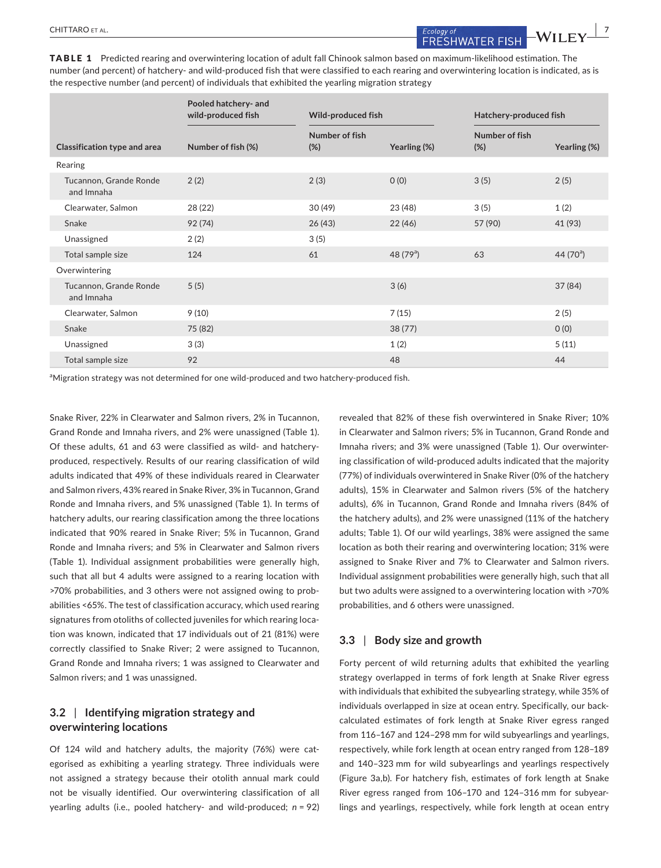TABLE 1 Predicted rearing and overwintering location of adult fall Chinook salmon based on maximum-likelihood estimation. The number (and percent) of hatchery‐ and wild‐produced fish that were classified to each rearing and overwintering location is indicated, as is the respective number (and percent) of individuals that exhibited the yearling migration strategy

|                                      | Pooled hatchery- and<br>wild-produced fish | Wild-produced fish       |              | Hatchery-produced fish |              |
|--------------------------------------|--------------------------------------------|--------------------------|--------------|------------------------|--------------|
| <b>Classification type and area</b>  | Number of fish (%)                         | Number of fish<br>$(\%)$ | Yearling (%) | Number of fish<br>(%)  | Yearling (%) |
| Rearing                              |                                            |                          |              |                        |              |
| Tucannon, Grande Ronde<br>and Imnaha | 2(2)                                       | 2(3)                     | O(0)         | 3(5)                   | 2(5)         |
| Clearwater, Salmon                   | 28 (22)                                    | 30(49)                   | 23 (48)      | 3(5)                   | 1(2)         |
| Snake                                | 92(74)                                     | 26(43)                   | 22(46)       | 57 (90)                | 41 (93)      |
| Unassigned                           | 2(2)                                       | 3(5)                     |              |                        |              |
| Total sample size                    | 124                                        | 61                       | 48 $(79^a)$  | 63                     | 44 $(70^a)$  |
| Overwintering                        |                                            |                          |              |                        |              |
| Tucannon, Grande Ronde<br>and Imnaha | 5(5)                                       |                          | 3(6)         |                        | 37(84)       |
| Clearwater, Salmon                   | 9(10)                                      |                          | 7(15)        |                        | 2(5)         |
| Snake                                | 75 (82)                                    |                          | 38(77)       |                        | O(0)         |
| Unassigned                           | 3(3)                                       |                          | 1(2)         |                        | 5(11)        |
| Total sample size                    | 92                                         |                          | 48           |                        | 44           |

<sup>a</sup>Migration strategy was not determined for one wild-produced and two hatchery-produced fish.

Snake River, 22% in Clearwater and Salmon rivers, 2% in Tucannon, Grand Ronde and Imnaha rivers, and 2% were unassigned (Table 1). Of these adults, 61 and 63 were classified as wild‐ and hatchery‐ produced, respectively. Results of our rearing classification of wild adults indicated that 49% of these individuals reared in Clearwater and Salmon rivers, 43% reared in Snake River, 3% in Tucannon, Grand Ronde and Imnaha rivers, and 5% unassigned (Table 1). In terms of hatchery adults, our rearing classification among the three locations indicated that 90% reared in Snake River; 5% in Tucannon, Grand Ronde and Imnaha rivers; and 5% in Clearwater and Salmon rivers (Table 1). Individual assignment probabilities were generally high, such that all but 4 adults were assigned to a rearing location with >70% probabilities, and 3 others were not assigned owing to prob‐ abilities <65%. The test of classification accuracy, which used rearing signatures from otoliths of collected juveniles for which rearing location was known, indicated that 17 individuals out of 21 (81%) were correctly classified to Snake River; 2 were assigned to Tucannon, Grand Ronde and Imnaha rivers; 1 was assigned to Clearwater and Salmon rivers; and 1 was unassigned.

## **3.2** | **Identifying migration strategy and overwintering locations**

Of 124 wild and hatchery adults, the majority (76%) were cat‐ egorised as exhibiting a yearling strategy. Three individuals were not assigned a strategy because their otolith annual mark could not be visually identified. Our overwintering classification of all yearling adults (i.e., pooled hatchery‐ and wild‐produced; *n* = 92) revealed that 82% of these fish overwintered in Snake River; 10% in Clearwater and Salmon rivers; 5% in Tucannon, Grand Ronde and Imnaha rivers; and 3% were unassigned (Table 1). Our overwinter‐ ing classification of wild‐produced adults indicated that the majority (77%) of individuals overwintered in Snake River (0% of the hatchery adults), 15% in Clearwater and Salmon rivers (5% of the hatchery adults), 6% in Tucannon, Grand Ronde and Imnaha rivers (84% of the hatchery adults), and 2% were unassigned (11% of the hatchery adults; Table 1). Of our wild yearlings, 38% were assigned the same location as both their rearing and overwintering location; 31% were assigned to Snake River and 7% to Clearwater and Salmon rivers. Individual assignment probabilities were generally high, such that all but two adults were assigned to a overwintering location with >70% probabilities, and 6 others were unassigned.

### **3.3** | **Body size and growth**

Forty percent of wild returning adults that exhibited the yearling strategy overlapped in terms of fork length at Snake River egress with individuals that exhibited the subyearling strategy, while 35% of individuals overlapped in size at ocean entry. Specifically, our back‐ calculated estimates of fork length at Snake River egress ranged from 116–167 and 124–298 mm for wild subyearlings and yearlings, respectively, while fork length at ocean entry ranged from 128–189 and 140–323 mm for wild subyearlings and yearlings respectively (Figure 3a,b). For hatchery fish, estimates of fork length at Snake River egress ranged from 106–170 and 124–316 mm for subyear‐ lings and yearlings, respectively, while fork length at ocean entry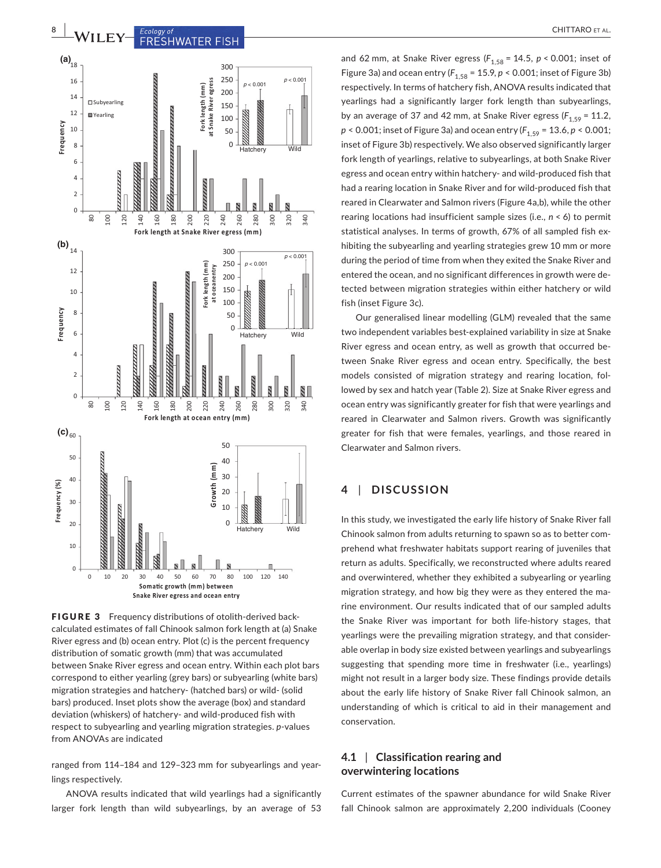



FIGURE 3 Frequency distributions of otolith-derived backcalculated estimates of fall Chinook salmon fork length at (a) Snake River egress and (b) ocean entry. Plot (c) is the percent frequency distribution of somatic growth (mm) that was accumulated between Snake River egress and ocean entry. Within each plot bars correspond to either yearling (grey bars) or subyearling (white bars) migration strategies and hatchery‐ (hatched bars) or wild‐ (solid bars) produced. Inset plots show the average (box) and standard deviation (whiskers) of hatchery‐ and wild‐produced fish with respect to subyearling and yearling migration strategies. *p*‐values from ANOVAs are indicated

ranged from 114–184 and 129–323 mm for subyearlings and year‐ lings respectively.

ANOVA results indicated that wild yearlings had a significantly larger fork length than wild subyearlings, by an average of 53

and 62 mm, at Snake River egress ( $F_{1.58}$  = 14.5, *p* < 0.001; inset of Figure 3a) and ocean entry  $(F_{1,58} = 15.9, p < 0.001$ ; inset of Figure 3b) respectively. In terms of hatchery fish, ANOVA results indicated that yearlings had a significantly larger fork length than subyearlings, by an average of 37 and 42 mm, at Snake River egress  $(F_{1.59} = 11.2)$ , *p* < 0.001; inset of Figure 3a) and ocean entry ( $F_{1.59}$  = 13.6, *p* < 0.001; inset of Figure 3b) respectively. We also observed significantly larger fork length of yearlings, relative to subyearlings, at both Snake River egress and ocean entry within hatchery‐ and wild‐produced fish that had a rearing location in Snake River and for wild‐produced fish that reared in Clearwater and Salmon rivers (Figure 4a,b), while the other rearing locations had insufficient sample sizes (i.e., *n* < 6) to permit statistical analyses. In terms of growth, 67% of all sampled fish ex‐ hibiting the subyearling and yearling strategies grew 10 mm or more during the period of time from when they exited the Snake River and entered the ocean, and no significant differences in growth were de‐ tected between migration strategies within either hatchery or wild fish (inset Figure 3c).

Our generalised linear modelling (GLM) revealed that the same two independent variables best‐explained variability in size at Snake River egress and ocean entry, as well as growth that occurred be‐ tween Snake River egress and ocean entry. Specifically, the best models consisted of migration strategy and rearing location, fol‐ lowed by sex and hatch year (Table 2). Size at Snake River egress and ocean entry was significantly greater for fish that were yearlings and reared in Clearwater and Salmon rivers. Growth was significantly greater for fish that were females, yearlings, and those reared in Clearwater and Salmon rivers.

## **4** | **DISCUSSION**

In this study, we investigated the early life history of Snake River fall Chinook salmon from adults returning to spawn so as to better com‐ prehend what freshwater habitats support rearing of juveniles that return as adults. Specifically, we reconstructed where adults reared and overwintered, whether they exhibited a subyearling or yearling migration strategy, and how big they were as they entered the ma‐ rine environment. Our results indicated that of our sampled adults the Snake River was important for both life‐history stages, that yearlings were the prevailing migration strategy, and that consider‐ able overlap in body size existed between yearlings and subyearlings suggesting that spending more time in freshwater (i.e., yearlings) might not result in a larger body size. These findings provide details about the early life history of Snake River fall Chinook salmon, an understanding of which is critical to aid in their management and conservation.

## **4.1** | **Classification rearing and overwintering locations**

Current estimates of the spawner abundance for wild Snake River fall Chinook salmon are approximately 2,200 individuals (Cooney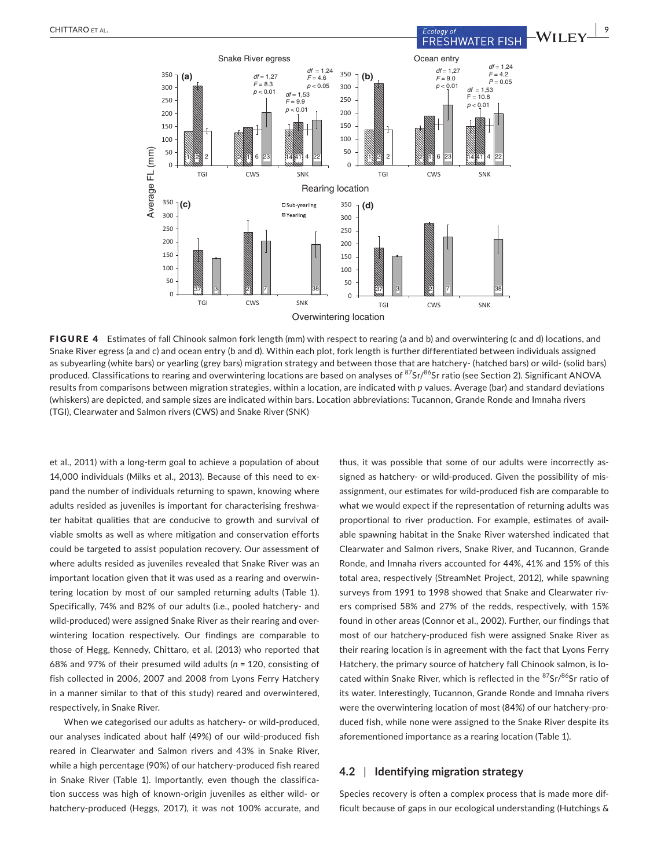

FIGURE 4 Estimates of fall Chinook salmon fork length (mm) with respect to rearing (a and b) and overwintering (c and d) locations, and Snake River egress (a and c) and ocean entry (b and d). Within each plot, fork length is further differentiated between individuals assigned as subyearling (white bars) or yearling (grey bars) migration strategy and between those that are hatchery‐ (hatched bars) or wild‐ (solid bars) produced. Classifications to rearing and overwintering locations are based on analyses of <sup>87</sup>Sr/<sup>86</sup>Sr ratio (see Section 2). Significant ANOVA results from comparisons between migration strategies, within a location, are indicated with *p* values. Average (bar) and standard deviations (whiskers) are depicted, and sample sizes are indicated within bars. Location abbreviations: Tucannon, Grande Ronde and Imnaha rivers (TGI), Clearwater and Salmon rivers (CWS) and Snake River (SNK)

et al., 2011) with a long‐term goal to achieve a population of about 14,000 individuals (Milks et al., 2013). Because of this need to ex‐ pand the number of individuals returning to spawn, knowing where adults resided as juveniles is important for characterising freshwa‐ ter habitat qualities that are conducive to growth and survival of viable smolts as well as where mitigation and conservation efforts could be targeted to assist population recovery. Our assessment of where adults resided as juveniles revealed that Snake River was an important location given that it was used as a rearing and overwin‐ tering location by most of our sampled returning adults (Table 1). Specifically, 74% and 82% of our adults (i.e., pooled hatchery‐ and wild-produced) were assigned Snake River as their rearing and overwintering location respectively. Our findings are comparable to those of Hegg, Kennedy, Chittaro, et al. (2013) who reported that 68% and 97% of their presumed wild adults (*n* = 120, consisting of fish collected in 2006, 2007 and 2008 from Lyons Ferry Hatchery in a manner similar to that of this study) reared and overwintered, respectively, in Snake River.

When we categorised our adults as hatchery- or wild-produced, our analyses indicated about half (49%) of our wild‐produced fish reared in Clearwater and Salmon rivers and 43% in Snake River, while a high percentage (90%) of our hatchery‐produced fish reared in Snake River (Table 1). Importantly, even though the classification success was high of known‐origin juveniles as either wild‐ or hatchery‐produced (Heggs, 2017), it was not 100% accurate, and thus, it was possible that some of our adults were incorrectly as‐ signed as hatchery- or wild-produced. Given the possibility of misassignment, our estimates for wild‐produced fish are comparable to what we would expect if the representation of returning adults was proportional to river production. For example, estimates of avail‐ able spawning habitat in the Snake River watershed indicated that Clearwater and Salmon rivers, Snake River, and Tucannon, Grande Ronde, and Imnaha rivers accounted for 44%, 41% and 15% of this total area, respectively (StreamNet Project, 2012), while spawning surveys from 1991 to 1998 showed that Snake and Clearwater riv‐ ers comprised 58% and 27% of the redds, respectively, with 15% found in other areas (Connor et al., 2002). Further, our findings that most of our hatchery‐produced fish were assigned Snake River as their rearing location is in agreement with the fact that Lyons Ferry Hatchery, the primary source of hatchery fall Chinook salmon, is located within Snake River, which is reflected in the  $87$ Sr/ $86$ Sr ratio of its water. Interestingly, Tucannon, Grande Ronde and Imnaha rivers were the overwintering location of most (84%) of our hatchery-produced fish, while none were assigned to the Snake River despite its aforementioned importance as a rearing location (Table 1).

## **4.2** | **Identifying migration strategy**

Species recovery is often a complex process that is made more dif‐ ficult because of gaps in our ecological understanding (Hutchings &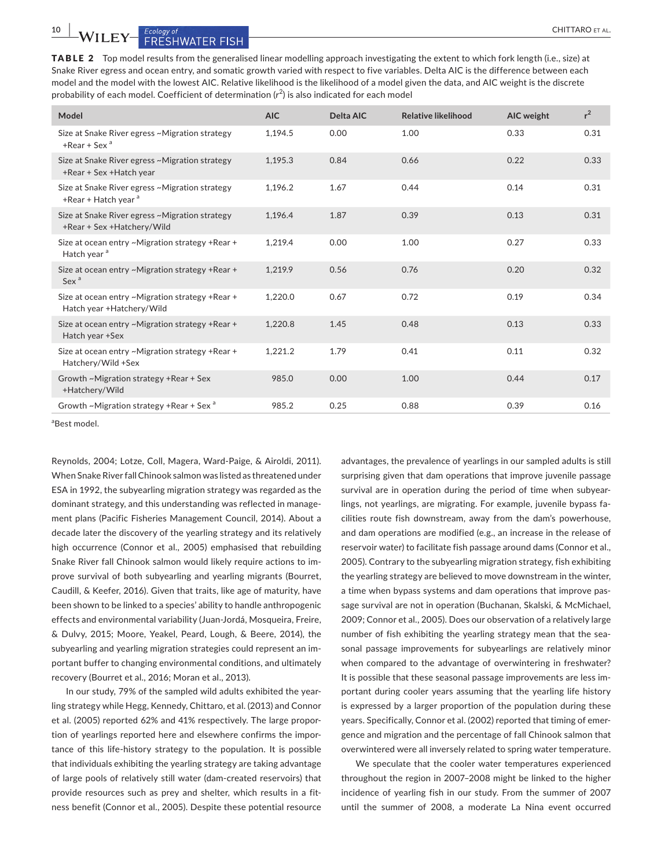TABLE 2 Top model results from the generalised linear modelling approach investigating the extent to which fork length (i.e., size) at Snake River egress and ocean entry, and somatic growth varied with respect to five variables. Delta AIC is the difference between each model and the model with the lowest AIC. Relative likelihood is the likelihood of a model given the data, and AIC weight is the discrete probability of each model. Coefficient of determination (r<sup>2</sup>) is also indicated for each model

| Model                                                                          | <b>AIC</b> | Delta AIC | <b>Relative likelihood</b> | AIC weight | $r^2$ |
|--------------------------------------------------------------------------------|------------|-----------|----------------------------|------------|-------|
| Size at Snake River egress ~Migration strategy<br>$+$ Rear + Sex <sup>a</sup>  | 1.194.5    | 0.00      | 1.00                       | 0.33       | 0.31  |
| Size at Snake River egress ~Migration strategy<br>+Rear + Sex + Hatch year     | 1,195.3    | 0.84      | 0.66                       | 0.22       | 0.33  |
| Size at Snake River egress ~Migration strategy<br>+Rear + Hatch year $a$       | 1.196.2    | 1.67      | 0.44                       | 0.14       | 0.31  |
| Size at Snake River egress ~Migration strategy<br>+Rear + Sex + Hatchery/ Wild | 1,196.4    | 1.87      | 0.39                       | 0.13       | 0.31  |
| Size at ocean entry ~Migration strategy +Rear +<br>Hatch year <sup>a</sup>     | 1,219.4    | 0.00      | 1.00                       | 0.27       | 0.33  |
| Size at ocean entry ~Migration strategy +Rear +<br>Sex <sup>a</sup>            | 1,219.9    | 0.56      | 0.76                       | 0.20       | 0.32  |
| Size at ocean entry ~Migration strategy +Rear +<br>Hatch year +Hatchery/Wild   | 1,220.0    | 0.67      | 0.72                       | 0.19       | 0.34  |
| Size at ocean entry ~Migration strategy +Rear +<br>Hatch year +Sex             | 1,220.8    | 1.45      | 0.48                       | 0.13       | 0.33  |
| Size at ocean entry ~Migration strategy +Rear +<br>Hatchery/Wild +Sex          | 1,221.2    | 1.79      | 0.41                       | 0.11       | 0.32  |
| Growth ~Migration strategy +Rear + Sex<br>+Hatchery/Wild                       | 985.0      | 0.00      | 1.00                       | 0.44       | 0.17  |
| Growth ~Migration strategy +Rear + Sex <sup>a</sup>                            | 985.2      | 0.25      | 0.88                       | 0.39       | 0.16  |

a Best model.

Reynolds, 2004; Lotze, Coll, Magera, Ward‐Paige, & Airoldi, 2011). When Snake River fall Chinook salmon was listed as threatened under ESA in 1992, the subyearling migration strategy was regarded as the dominant strategy, and this understanding was reflected in manage‐ ment plans (Pacific Fisheries Management Council, 2014). About a decade later the discovery of the yearling strategy and its relatively high occurrence (Connor et al., 2005) emphasised that rebuilding Snake River fall Chinook salmon would likely require actions to im‐ prove survival of both subyearling and yearling migrants (Bourret, Caudill, & Keefer, 2016). Given that traits, like age of maturity, have been shown to be linked to a species' ability to handle anthropogenic effects and environmental variability (Juan‐Jordá, Mosqueira, Freire, & Dulvy, 2015; Moore, Yeakel, Peard, Lough, & Beere, 2014), the subyearling and yearling migration strategies could represent an im‐ portant buffer to changing environmental conditions, and ultimately recovery (Bourret et al., 2016; Moran et al., 2013).

In our study, 79% of the sampled wild adults exhibited the year‐ ling strategy while Hegg, Kennedy, Chittaro, et al. (2013) and Connor et al. (2005) reported 62% and 41% respectively. The large propor‐ tion of yearlings reported here and elsewhere confirms the impor‐ tance of this life‐history strategy to the population. It is possible that individuals exhibiting the yearling strategy are taking advantage of large pools of relatively still water (dam‐created reservoirs) that provide resources such as prey and shelter, which results in a fitness benefit (Connor et al., 2005). Despite these potential resource

advantages, the prevalence of yearlings in our sampled adults is still surprising given that dam operations that improve juvenile passage survival are in operation during the period of time when subyearlings, not yearlings, are migrating. For example, juvenile bypass fa‐ cilities route fish downstream, away from the dam's powerhouse, and dam operations are modified (e.g., an increase in the release of reservoir water) to facilitate fish passage around dams (Connor et al., 2005). Contrary to the subyearling migration strategy, fish exhibiting the yearling strategy are believed to move downstream in the winter, a time when bypass systems and dam operations that improve pas‐ sage survival are not in operation (Buchanan, Skalski, & McMichael, 2009; Connor et al., 2005). Does our observation of a relatively large number of fish exhibiting the yearling strategy mean that the seasonal passage improvements for subyearlings are relatively minor when compared to the advantage of overwintering in freshwater? It is possible that these seasonal passage improvements are less im‐ portant during cooler years assuming that the yearling life history is expressed by a larger proportion of the population during these years. Specifically, Connor et al. (2002) reported that timing of emer‐ gence and migration and the percentage of fall Chinook salmon that overwintered were all inversely related to spring water temperature.

We speculate that the cooler water temperatures experienced throughout the region in 2007–2008 might be linked to the higher incidence of yearling fish in our study. From the summer of 2007 until the summer of 2008, a moderate La Nina event occurred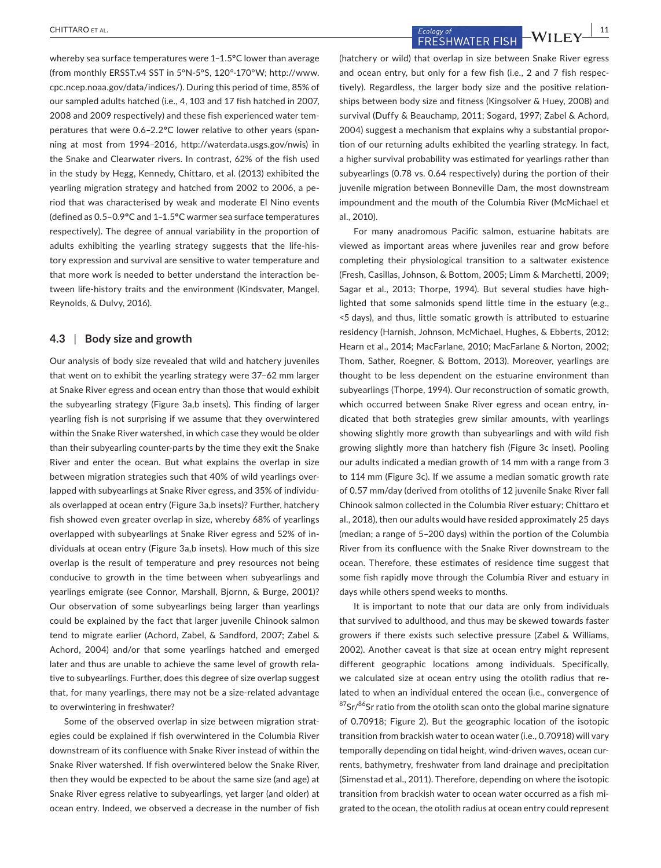whereby sea surface temperatures were 1–1.5**°**C lower than average (from monthly ERSST.v4 SST in 5°N‐5°S, 120°‐170°W; [http://www.](http://www.cpc.ncep.noaa.gov/data/indices/) [cpc.ncep.noaa.gov/data/indices/](http://www.cpc.ncep.noaa.gov/data/indices/)). During this period of time, 85% of our sampled adults hatched (i.e., 4, 103 and 17 fish hatched in 2007, 2008 and 2009 respectively) and these fish experienced water tem‐ peratures that were 0.6–2.2**°**C lower relative to other years (span‐ ning at most from 1994–2016, [http://waterdata.usgs.gov/nwis\)](http://waterdata.usgs.gov/nwis) in the Snake and Clearwater rivers. In contrast, 62% of the fish used in the study by Hegg, Kennedy, Chittaro, et al. (2013) exhibited the yearling migration strategy and hatched from 2002 to 2006, a pe‐ riod that was characterised by weak and moderate El Nino events (defined as 0.5–0.9**°**C and 1–1.5**°**C warmer sea surface temperatures respectively). The degree of annual variability in the proportion of adults exhibiting the yearling strategy suggests that the life-history expression and survival are sensitive to water temperature and that more work is needed to better understand the interaction be‐ tween life-history traits and the environment (Kindsvater, Mangel, Reynolds, & Dulvy, 2016).

### **4.3** | **Body size and growth**

Our analysis of body size revealed that wild and hatchery juveniles that went on to exhibit the yearling strategy were 37–62 mm larger at Snake River egress and ocean entry than those that would exhibit the subyearling strategy (Figure 3a,b insets). This finding of larger yearling fish is not surprising if we assume that they overwintered within the Snake River watershed, in which case they would be older than their subyearling counter‐parts by the time they exit the Snake River and enter the ocean. But what explains the overlap in size between migration strategies such that 40% of wild yearlings over‐ lapped with subyearlings at Snake River egress, and 35% of individu‐ als overlapped at ocean entry (Figure 3a,b insets)? Further, hatchery fish showed even greater overlap in size, whereby 68% of yearlings overlapped with subyearlings at Snake River egress and 52% of in‐ dividuals at ocean entry (Figure 3a,b insets). How much of this size overlap is the result of temperature and prey resources not being conducive to growth in the time between when subyearlings and yearlings emigrate (see Connor, Marshall, Bjornn, & Burge, 2001)? Our observation of some subyearlings being larger than yearlings could be explained by the fact that larger juvenile Chinook salmon tend to migrate earlier (Achord, Zabel, & Sandford, 2007; Zabel & Achord, 2004) and/or that some yearlings hatched and emerged later and thus are unable to achieve the same level of growth rela‐ tive to subyearlings. Further, does this degree of size overlap suggest that, for many yearlings, there may not be a size‐related advantage to overwintering in freshwater?

Some of the observed overlap in size between migration strategies could be explained if fish overwintered in the Columbia River downstream of its confluence with Snake River instead of within the Snake River watershed. If fish overwintered below the Snake River, then they would be expected to be about the same size (and age) at Snake River egress relative to subyearlings, yet larger (and older) at ocean entry. Indeed, we observed a decrease in the number of fish

 **CHITTARO** ET AL. **11**<br>**ECOLOGY OF AL. EXECUTIVE EVERY** FRESHWATER FISH  $-WILEY$ 

(hatchery or wild) that overlap in size between Snake River egress and ocean entry, but only for a few fish (i.e., 2 and 7 fish respec‐ tively). Regardless, the larger body size and the positive relation‐ ships between body size and fitness (Kingsolver & Huey, 2008) and survival (Duffy & Beauchamp, 2011; Sogard, 1997; Zabel & Achord, 2004) suggest a mechanism that explains why a substantial propor‐ tion of our returning adults exhibited the yearling strategy. In fact, a higher survival probability was estimated for yearlings rather than subyearlings (0.78 vs. 0.64 respectively) during the portion of their juvenile migration between Bonneville Dam, the most downstream impoundment and the mouth of the Columbia River (McMichael et al., 2010).

For many anadromous Pacific salmon, estuarine habitats are viewed as important areas where juveniles rear and grow before completing their physiological transition to a saltwater existence (Fresh, Casillas, Johnson, & Bottom, 2005; Limm & Marchetti, 2009; Sagar et al., 2013; Thorpe, 1994). But several studies have high‐ lighted that some salmonids spend little time in the estuary (e.g., <5 days), and thus, little somatic growth is attributed to estuarine residency (Harnish, Johnson, McMichael, Hughes, & Ebberts, 2012; Hearn et al., 2014; MacFarlane, 2010; MacFarlane & Norton, 2002; Thom, Sather, Roegner, & Bottom, 2013). Moreover, yearlings are thought to be less dependent on the estuarine environment than subyearlings (Thorpe, 1994). Our reconstruction of somatic growth, which occurred between Snake River egress and ocean entry, indicated that both strategies grew similar amounts, with yearlings showing slightly more growth than subyearlings and with wild fish growing slightly more than hatchery fish (Figure 3c inset). Pooling our adults indicated a median growth of 14 mm with a range from 3 to 114 mm (Figure 3c). If we assume a median somatic growth rate of 0.57 mm/day (derived from otoliths of 12 juvenile Snake River fall Chinook salmon collected in the Columbia River estuary; Chittaro et al., 2018), then our adults would have resided approximately 25 days (median; a range of 5–200 days) within the portion of the Columbia River from its confluence with the Snake River downstream to the ocean. Therefore, these estimates of residence time suggest that some fish rapidly move through the Columbia River and estuary in days while others spend weeks to months.

It is important to note that our data are only from individuals that survived to adulthood, and thus may be skewed towards faster growers if there exists such selective pressure (Zabel & Williams, 2002). Another caveat is that size at ocean entry might represent different geographic locations among individuals. Specifically, we calculated size at ocean entry using the otolith radius that related to when an individual entered the ocean (i.e., convergence of  $87$ Sr/ $86$ Sr ratio from the otolith scan onto the global marine signature of 0.70918; Figure 2). But the geographic location of the isotopic transition from brackish water to ocean water (i.e., 0.70918) will vary temporally depending on tidal height, wind-driven waves, ocean currents, bathymetry, freshwater from land drainage and precipitation (Simenstad et al., 2011). Therefore, depending on where the isotopic transition from brackish water to ocean water occurred as a fish mi‐ grated to the ocean, the otolith radius at ocean entry could represent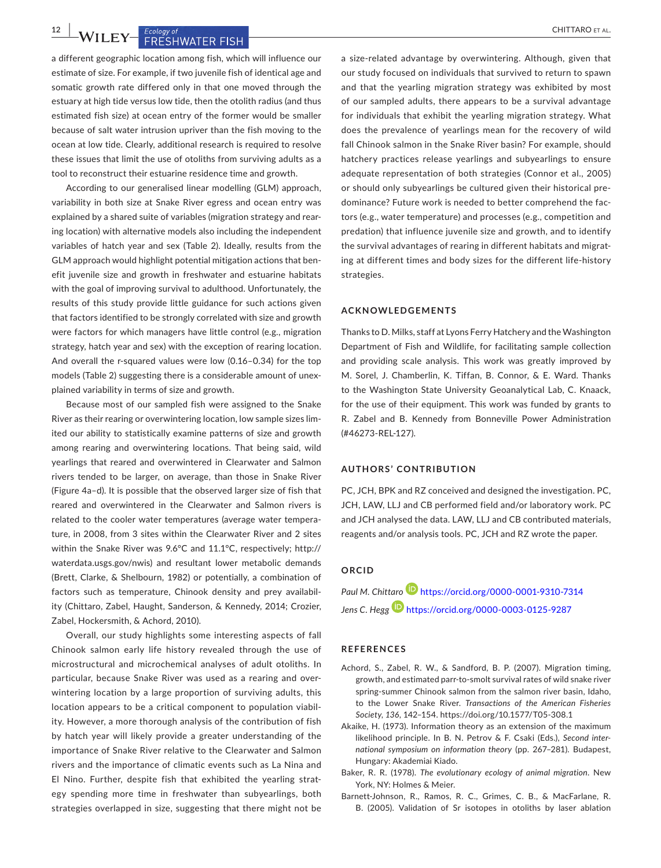**1 LEY** FRESHWATER FISH

a different geographic location among fish, which will influence our estimate of size. For example, if two juvenile fish of identical age and somatic growth rate differed only in that one moved through the estuary at high tide versus low tide, then the otolith radius (and thus estimated fish size) at ocean entry of the former would be smaller because of salt water intrusion upriver than the fish moving to the ocean at low tide. Clearly, additional research is required to resolve these issues that limit the use of otoliths from surviving adults as a tool to reconstruct their estuarine residence time and growth.

According to our generalised linear modelling (GLM) approach, variability in both size at Snake River egress and ocean entry was explained by a shared suite of variables (migration strategy and rear‐ ing location) with alternative models also including the independent variables of hatch year and sex (Table 2). Ideally, results from the GLM approach would highlight potential mitigation actions that ben‐ efit juvenile size and growth in freshwater and estuarine habitats with the goal of improving survival to adulthood. Unfortunately, the results of this study provide little guidance for such actions given that factors identified to be strongly correlated with size and growth were factors for which managers have little control (e.g., migration strategy, hatch year and sex) with the exception of rearing location. And overall the r-squared values were low (0.16-0.34) for the top models (Table 2) suggesting there is a considerable amount of unexplained variability in terms of size and growth.

Because most of our sampled fish were assigned to the Snake River as their rearing or overwintering location, low sample sizes lim‐ ited our ability to statistically examine patterns of size and growth among rearing and overwintering locations. That being said, wild yearlings that reared and overwintered in Clearwater and Salmon rivers tended to be larger, on average, than those in Snake River (Figure 4a–d). It is possible that the observed larger size of fish that reared and overwintered in the Clearwater and Salmon rivers is related to the cooler water temperatures (average water tempera‐ ture, in 2008, from 3 sites within the Clearwater River and 2 sites within the Snake River was 9.6°C and 11.1°C, respectively; [http://](http://waterdata.usgs.gov/nwis) [waterdata.usgs.gov/nwis](http://waterdata.usgs.gov/nwis)) and resultant lower metabolic demands (Brett, Clarke, & Shelbourn, 1982) or potentially, a combination of factors such as temperature, Chinook density and prey availability (Chittaro, Zabel, Haught, Sanderson, & Kennedy, 2014; Crozier, Zabel, Hockersmith, & Achord, 2010).

Overall, our study highlights some interesting aspects of fall Chinook salmon early life history revealed through the use of microstructural and microchemical analyses of adult otoliths. In particular, because Snake River was used as a rearing and over‐ wintering location by a large proportion of surviving adults, this location appears to be a critical component to population viabil‐ ity. However, a more thorough analysis of the contribution of fish by hatch year will likely provide a greater understanding of the importance of Snake River relative to the Clearwater and Salmon rivers and the importance of climatic events such as La Nina and El Nino. Further, despite fish that exhibited the yearling strat‐ egy spending more time in freshwater than subyearlings, both strategies overlapped in size, suggesting that there might not be

a size‐related advantage by overwintering. Although, given that our study focused on individuals that survived to return to spawn and that the yearling migration strategy was exhibited by most of our sampled adults, there appears to be a survival advantage for individuals that exhibit the yearling migration strategy. What does the prevalence of yearlings mean for the recovery of wild fall Chinook salmon in the Snake River basin? For example, should hatchery practices release yearlings and subyearlings to ensure adequate representation of both strategies (Connor et al., 2005) or should only subyearlings be cultured given their historical pre‐ dominance? Future work is needed to better comprehend the fac‐ tors (e.g., water temperature) and processes (e.g., competition and predation) that influence juvenile size and growth, and to identify the survival advantages of rearing in different habitats and migrat‐ ing at different times and body sizes for the different life‐history strategies.

#### **ACKNOWLEDGEMENTS**

Thanks to D. Milks, staff at Lyons Ferry Hatchery and the Washington Department of Fish and Wildlife, for facilitating sample collection and providing scale analysis. This work was greatly improved by M. Sorel, J. Chamberlin, K. Tiffan, B. Connor, & E. Ward. Thanks to the Washington State University Geoanalytical Lab, C. Knaack, for the use of their equipment. This work was funded by grants to R. Zabel and B. Kennedy from Bonneville Power Administration (#46273‐REL‐127).

#### **AUTHORS' CONTRIBUTION**

PC, JCH, BPK and RZ conceived and designed the investigation. PC, JCH, LAW, LLJ and CB performed field and/or laboratory work. PC and JCH analysed the data. LAW, LLJ and CB contributed materials, reagents and/or analysis tools. PC, JCH and RZ wrote the paper.

#### **ORCID**

*Paul M. Chittar[o](https://orcid.org/0000-0001-9310-7314)* <https://orcid.org/0000-0001-9310-7314> *Jens C. Hegg* <https://orcid.org/0000-0003-0125-9287>

#### **REFERENCES**

- Achord, S., Zabel, R. W., & Sandford, B. P. (2007). Migration timing, growth, and estimated parr‐to‐smolt survival rates of wild snake river spring‐summer Chinook salmon from the salmon river basin, Idaho, to the Lower Snake River. *Transactions of the American Fisheries Society*, *136*, 142–154. <https://doi.org/10.1577/T05-308.1>
- Akaike, H. (1973). Information theory as an extension of the maximum likelihood principle. In B. N. Petrov & F. Csaki (Eds.), *Second inter‐ national symposium on information theory* (pp. 267–281). Budapest, Hungary: Akademiai Kiado.
- Baker, R. R. (1978). *The evolutionary ecology of animal migration*. New York, NY: Holmes & Meier.
- Barnett‐Johnson, R., Ramos, R. C., Grimes, C. B., & MacFarlane, R. B. (2005). Validation of Sr isotopes in otoliths by laser ablation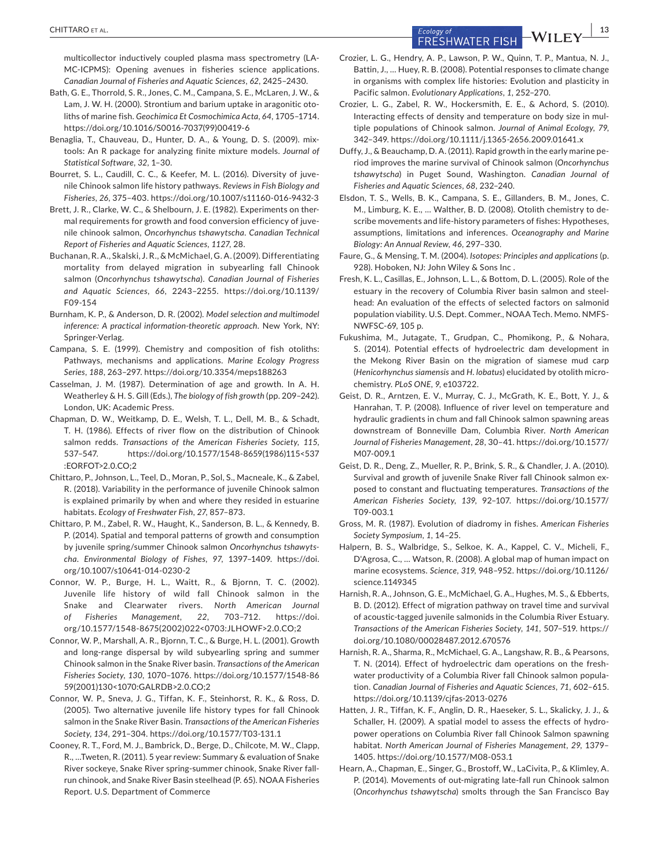**Ecology of** Ecology of Ecology of Ecology of Ecology of Ecology of Ecology of  $\overline{S}$  **FRESHWATER FISH**  $\overline{C}$   $\overline{C}$ 

multicollector inductively coupled plasma mass spectrometry (LA‐ MC‐ICPMS): Opening avenues in fisheries science applications. *Canadian Journal of Fisheries and Aquatic Sciences*, *62*, 2425–2430.

- Bath, G. E., Thorrold, S. R., Jones, C. M., Campana, S. E., McLaren, J. W., & Lam, J. W. H. (2000). Strontium and barium uptake in aragonitic oto‐ liths of marine fish. *Geochimica Et Cosmochimica Acta*, *64*, 1705–1714. [https://doi.org/10.1016/S0016-7037\(99\)00419-6](https://doi.org/10.1016/S0016-7037(99)00419-6)
- Benaglia, T., Chauveau, D., Hunter, D. A., & Young, D. S. (2009). mix‐ tools: An R package for analyzing finite mixture models. *Journal of Statistical Software*, *32*, 1–30.
- Bourret, S. L., Caudill, C. C., & Keefer, M. L. (2016). Diversity of juve‐ nile Chinook salmon life history pathways. *Reviews in Fish Biology and Fisheries*, *26*, 375–403.<https://doi.org/10.1007/s11160-016-9432-3>
- Brett, J. R., Clarke, W. C., & Shelbourn, J. E. (1982). Experiments on ther‐ mal requirements for growth and food conversion efficiency of juve‐ nile chinook salmon, *Oncorhynchus tshawytscha*. *Canadian Technical Report of Fisheries and Aquatic Sciences*, *1127*, 28.
- Buchanan, R. A., Skalski, J. R., & McMichael, G. A. (2009). Differentiating mortality from delayed migration in subyearling fall Chinook salmon (*Oncorhynchus tshawytscha*). *Canadian Journal of Fisheries and Aquatic Sciences*, *66*, 2243–2255. [https://doi.org/10.1139/](https://doi.org/10.1139/F09-154) [F09-154](https://doi.org/10.1139/F09-154)
- Burnham, K. P., & Anderson, D. R. (2002). *Model selection and multimodel inference: A practical information‐theoretic approach*. New York, NY: Springer‐Verlag.
- Campana, S. E. (1999). Chemistry and composition of fish otoliths: Pathways, mechanisms and applications. *Marine Ecology Progress Series*, *188*, 263–297.<https://doi.org/10.3354/meps188263>
- Casselman, J. M. (1987). Determination of age and growth. In A. H. Weatherley & H. S. Gill (Eds.), *The biology of fish growth* (pp. 209–242). London, UK: Academic Press.
- Chapman, D. W., Weitkamp, D. E., Welsh, T. L., Dell, M. B., & Schadt, T. H. (1986). Effects of river flow on the distribution of Chinook salmon redds. *Transactions of the American Fisheries Society*, *115*, 537–547. [https://doi.org/10.1577/1548-8659\(1986\)115<537](https://doi.org/10.1577/1548-8659(1986)115<537:EORFOT>2.0.CO;2) [:EORFOT>2.0.CO;2](https://doi.org/10.1577/1548-8659(1986)115<537:EORFOT>2.0.CO;2)
- Chittaro, P., Johnson, L., Teel, D., Moran, P., Sol, S., Macneale, K., & Zabel, R. (2018). Variability in the performance of juvenile Chinook salmon is explained primarily by when and where they resided in estuarine habitats. *Ecology of Freshwater Fish*, *27*, 857–873.
- Chittaro, P. M., Zabel, R. W., Haught, K., Sanderson, B. L., & Kennedy, B. P. (2014). Spatial and temporal patterns of growth and consumption by juvenile spring/summer Chinook salmon *Oncorhynchus tshawyts‐ cha*. *Environmental Biology of Fishes*, *97*, 1397–1409. [https://doi.](https://doi.org/10.1007/s10641-014-0230-2) [org/10.1007/s10641-014-0230-2](https://doi.org/10.1007/s10641-014-0230-2)
- Connor, W. P., Burge, H. L., Waitt, R., & Bjornn, T. C. (2002). Juvenile life history of wild fall Chinook salmon in the Snake and Clearwater rivers. *North American Journal of Fisheries Management*, *22*, 703–712. [https://doi.](https://doi.org/10.1577/1548-8675(2002)022<0703:JLHOWF>2.0.CO;2) [org/10.1577/1548-8675\(2002\)022<0703:JLHOWF>2.0.CO;2](https://doi.org/10.1577/1548-8675(2002)022<0703:JLHOWF>2.0.CO;2)
- Connor, W. P., Marshall, A. R., Bjornn, T. C., & Burge, H. L. (2001). Growth and long‐range dispersal by wild subyearling spring and summer Chinook salmon in the Snake River basin. *Transactions of the American Fisheries Society*, *130*, 1070–1076. [https://doi.org/10.1577/1548-86](https://doi.org/10.1577/1548-8659(2001)130<1070:GALRDB>2.0.CO;2) [59\(2001\)130<1070:GALRDB>2.0.CO;2](https://doi.org/10.1577/1548-8659(2001)130<1070:GALRDB>2.0.CO;2)
- Connor, W. P., Sneva, J. G., Tiffan, K. F., Steinhorst, R. K., & Ross, D. (2005). Two alternative juvenile life history types for fall Chinook salmon in the Snake River Basin. *Transactions of the American Fisheries Society*, *134*, 291–304.<https://doi.org/10.1577/T03-131.1>
- Cooney, R. T., Ford, M. J., Bambrick, D., Berge, D., Chilcote, M. W., Clapp, R., …Tweten, R. (2011). 5 year review: Summary & evaluation of Snake River sockeye, Snake River spring‐summer chinook, Snake River fall‐ run chinook, and Snake River Basin steelhead (P. 65). NOAA Fisheries Report. U.S. Department of Commerce
- Crozier, L. G., Hendry, A. P., Lawson, P. W., Quinn, T. P., Mantua, N. J., Battin, J., … Huey, R. B. (2008). Potential responses to climate change in organisms with complex life histories: Evolution and plasticity in Pacific salmon. *Evolutionary Applications*, *1*, 252–270.
- Crozier, L. G., Zabel, R. W., Hockersmith, E. E., & Achord, S. (2010). Interacting effects of density and temperature on body size in mul‐ tiple populations of Chinook salmon. *Journal of Animal Ecology*, *79*, 342–349.<https://doi.org/10.1111/j.1365-2656.2009.01641.x>
- Duffy, J., & Beauchamp, D. A. (2011). Rapid growth in the early marine pe‐ riod improves the marine survival of Chinook salmon (*Oncorhynchus tshawytscha*) in Puget Sound, Washington. *Canadian Journal of Fisheries and Aquatic Sciences*, *68*, 232–240.
- Elsdon, T. S., Wells, B. K., Campana, S. E., Gillanders, B. M., Jones, C. M., Limburg, K. E., … Walther, B. D. (2008). Otolith chemistry to de‐ scribe movements and life‐history parameters of fishes: Hypotheses, assumptions, limitations and inferences. *Oceanography and Marine Biology: An Annual Review*, *46*, 297–330.
- Faure, G., & Mensing, T. M. (2004). *Isotopes: Principles and applications* (p. 928). Hoboken, NJ: John Wiley & Sons Inc .
- Fresh, K. L., Casillas, E., Johnson, L. L., & Bottom, D. L. (2005). Role of the estuary in the recovery of Columbia River basin salmon and steel‐ head: An evaluation of the effects of selected factors on salmonid population viability. U.S. Dept. Commer., NOAA Tech. Memo. NMFS‐ NWFSC‐69, 105 p.
- Fukushima, M., Jutagate, T., Grudpan, C., Phomikong, P., & Nohara, S. (2014). Potential effects of hydroelectric dam development in the Mekong River Basin on the migration of siamese mud carp (*Henicorhynchus siamensis* and *H. lobatus*) elucidated by otolith micro‐ chemistry. *PLoS ONE*, *9*, e103722.
- Geist, D. R., Arntzen, E. V., Murray, C. J., McGrath, K. E., Bott, Y. J., & Hanrahan, T. P. (2008). Influence of river level on temperature and hydraulic gradients in chum and fall Chinook salmon spawning areas downstream of Bonneville Dam, Columbia River. *North American Journal of Fisheries Management*, *28*, 30–41. [https://doi.org/10.1577/](https://doi.org/10.1577/M07-009.1) [M07-009.1](https://doi.org/10.1577/M07-009.1)
- Geist, D. R., Deng, Z., Mueller, R. P., Brink, S. R., & Chandler, J. A. (2010). Survival and growth of juvenile Snake River fall Chinook salmon ex‐ posed to constant and fluctuating temperatures. *Transactions of the American Fisheries Society*, *139*, 92–107. [https://doi.org/10.1577/](https://doi.org/10.1577/T09-003.1) [T09-003.1](https://doi.org/10.1577/T09-003.1)
- Gross, M. R. (1987). Evolution of diadromy in fishes. *American Fisheries Society Symposium*, *1*, 14–25.
- Halpern, B. S., Walbridge, S., Selkoe, K. A., Kappel, C. V., Micheli, F., D'Agrosa, C., … Watson, R. (2008). A global map of human impact on marine ecosystems. *Science*, *319*, 948–952. [https://doi.org/10.1126/](https://doi.org/10.1126/science.1149345) [science.1149345](https://doi.org/10.1126/science.1149345)
- Harnish, R. A., Johnson, G. E., McMichael, G. A., Hughes, M. S., & Ebberts, B. D. (2012). Effect of migration pathway on travel time and survival of acoustic‐tagged juvenile salmonids in the Columbia River Estuary. *Transactions of the American Fisheries Society*, *141*, 507–519. [https://](https://doi.org/10.1080/00028487.2012.670576) [doi.org/10.1080/00028487.2012.670576](https://doi.org/10.1080/00028487.2012.670576)
- Harnish, R. A., Sharma, R., McMichael, G. A., Langshaw, R. B., & Pearsons, T. N. (2014). Effect of hydroelectric dam operations on the fresh‐ water productivity of a Columbia River fall Chinook salmon popula‐ tion. *Canadian Journal of Fisheries and Aquatic Sciences*, *71*, 602–615. <https://doi.org/10.1139/cjfas-2013-0276>
- Hatten, J. R., Tiffan, K. F., Anglin, D. R., Haeseker, S. L., Skalicky, J. J., & Schaller, H. (2009). A spatial model to assess the effects of hydro‐ power operations on Columbia River fall Chinook Salmon spawning habitat. *North American Journal of Fisheries Management*, *29*, 1379– 1405.<https://doi.org/10.1577/M08-053.1>
- Hearn, A., Chapman, E., Singer, G., Brostoff, W., LaCivita, P., & Klimley, A. P. (2014). Movements of out‐migrating late‐fall run Chinook salmon (*Oncorhynchus tshawytscha*) smolts through the San Francisco Bay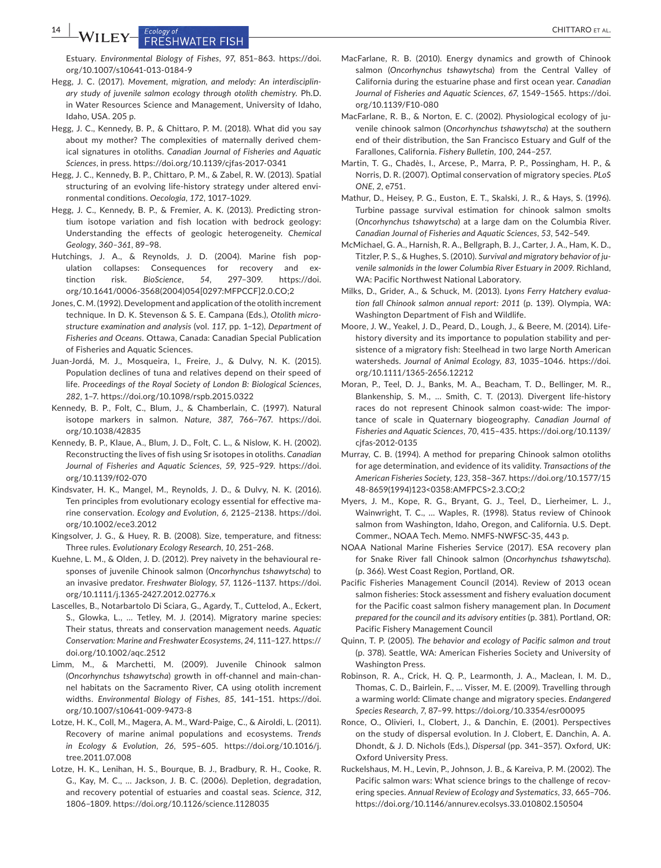**14 WILEY** Ecology of CHITTARO ET AL.

Estuary. *Environmental Biology of Fishes*, *97*, 851–863. [https://doi.](https://doi.org/10.1007/s10641-013-0184-9) [org/10.1007/s10641-013-0184-9](https://doi.org/10.1007/s10641-013-0184-9)

- Hegg, J. C. (2017). *Movement, migration, and melody: An interdisciplin‐ ary study of juvenile salmon ecology through otolith chemistry*. Ph.D. in Water Resources Science and Management, University of Idaho, Idaho, USA. 205 p.
- Hegg, J. C., Kennedy, B. P., & Chittaro, P. M. (2018). What did you say about my mother? The complexities of maternally derived chemical signatures in otoliths. *Canadian Journal of Fisheries and Aquatic Sciences*, in press.<https://doi.org/10.1139/cjfas-2017-0341>
- Hegg, J. C., Kennedy, B. P., Chittaro, P. M., & Zabel, R. W. (2013). Spatial structuring of an evolving life‐history strategy under altered envi‐ ronmental conditions. *Oecologia*, *172*, 1017–1029.
- Hegg, J. C., Kennedy, B. P., & Fremier, A. K. (2013). Predicting stron‐ tium isotope variation and fish location with bedrock geology: Understanding the effects of geologic heterogeneity. *Chemical Geology*, *360–361*, 89–98.
- Hutchings, J. A., & Reynolds, J. D. (2004). Marine fish pop‐ ulation collapses: Consequences for recovery and extinction risk. *BioScience*, *54*, 297–309. [https://doi.](https://doi.org/10.1641/0006-3568(2004)054[0297:MFPCCF]2.0.CO;2) [org/10.1641/0006-3568\(2004\)054\[0297:MFPCCF\]2.0.CO;2](https://doi.org/10.1641/0006-3568(2004)054[0297:MFPCCF]2.0.CO;2)
- Jones, C. M. (1992). Development and application of the otolith increment technique. In D. K. Stevenson & S. E. Campana (Eds.), *Otolith micro‐ structure examination and analysis* (vol. *117*, pp. 1–12), *Department of Fisheries and Oceans*. Ottawa, Canada: Canadian Special Publication of Fisheries and Aquatic Sciences.
- Juan‐Jordá, M. J., Mosqueira, I., Freire, J., & Dulvy, N. K. (2015). Population declines of tuna and relatives depend on their speed of life. *Proceedings of the Royal Society of London B: Biological Sciences*, *282*, 1–7. <https://doi.org/10.1098/rspb.2015.0322>
- Kennedy, B. P., Folt, C., Blum, J., & Chamberlain, C. (1997). Natural isotope markers in salmon. *Nature*, *387*, 766–767. [https://doi.](https://doi.org/10.1038/42835) [org/10.1038/42835](https://doi.org/10.1038/42835)
- Kennedy, B. P., Klaue, A., Blum, J. D., Folt, C. L., & Nislow, K. H. (2002). Reconstructing the lives of fish using Sr isotopes in otoliths. *Canadian Journal of Fisheries and Aquatic Sciences*, *59*, 925–929. [https://doi.](https://doi.org/10.1139/f02-070) [org/10.1139/f02-070](https://doi.org/10.1139/f02-070)
- Kindsvater, H. K., Mangel, M., Reynolds, J. D., & Dulvy, N. K. (2016). Ten principles from evolutionary ecology essential for effective ma‐ rine conservation. *Ecology and Evolution*, *6*, 2125–2138. [https://doi.](https://doi.org/10.1002/ece3.2012) [org/10.1002/ece3.2012](https://doi.org/10.1002/ece3.2012)
- Kingsolver, J. G., & Huey, R. B. (2008). Size, temperature, and fitness: Three rules. *Evolutionary Ecology Research*, *10*, 251–268.
- Kuehne, L. M., & Olden, J. D. (2012). Prey naivety in the behavioural re‐ sponses of juvenile Chinook salmon (*Oncorhynchus tshawytscha*) to an invasive predator. *Freshwater Biology*, *57*, 1126–1137. [https://doi.](https://doi.org/10.1111/j.1365-2427.2012.02776.x) [org/10.1111/j.1365-2427.2012.02776.x](https://doi.org/10.1111/j.1365-2427.2012.02776.x)
- Lascelles, B., Notarbartolo Di Sciara, G., Agardy, T., Cuttelod, A., Eckert, S., Glowka, L., … Tetley, M. J. (2014). Migratory marine species: Their status, threats and conservation management needs. *Aquatic Conservation: Marine and Freshwater Ecosystems*, *24*, 111–127. [https://](https://doi.org/10.1002/aqc.2512) [doi.org/10.1002/aqc.2512](https://doi.org/10.1002/aqc.2512)
- Limm, M., & Marchetti, M. (2009). Juvenile Chinook salmon (*Oncorhynchus tshawytscha*) growth in off‐channel and main‐chan‐ nel habitats on the Sacramento River, CA using otolith increment widths. *Environmental Biology of Fishes*, *85*, 141–151. [https://doi.](https://doi.org/10.1007/s10641-009-9473-8) [org/10.1007/s10641-009-9473-8](https://doi.org/10.1007/s10641-009-9473-8)
- Lotze, H. K., Coll, M., Magera, A. M., Ward‐Paige, C., & Airoldi, L. (2011). Recovery of marine animal populations and ecosystems. *Trends in Ecology & Evolution*, *26*, 595–605. [https://doi.org/10.1016/j.](https://doi.org/10.1016/j.tree.2011.07.008) [tree.2011.07.008](https://doi.org/10.1016/j.tree.2011.07.008)
- Lotze, H. K., Lenihan, H. S., Bourque, B. J., Bradbury, R. H., Cooke, R. G., Kay, M. C., … Jackson, J. B. C. (2006). Depletion, degradation, and recovery potential of estuaries and coastal seas. *Science*, *312*, 1806–1809.<https://doi.org/10.1126/science.1128035>
- MacFarlane, R. B. (2010). Energy dynamics and growth of Chinook salmon (*Oncorhynchus tshawytscha*) from the Central Valley of California during the estuarine phase and first ocean year. *Canadian Journal of Fisheries and Aquatic Sciences*, *67*, 1549–1565. [https://doi.](https://doi.org/10.1139/F10-080) [org/10.1139/F10-080](https://doi.org/10.1139/F10-080)
- MacFarlane, R. B., & Norton, E. C. (2002). Physiological ecology of ju‐ venile chinook salmon (*Oncorhynchus tshawytscha*) at the southern end of their distribution, the San Francisco Estuary and Gulf of the Farallones, California. *Fishery Bulletin*, *100*, 244–257.
- Martin, T. G., Chadès, I., Arcese, P., Marra, P. P., Possingham, H. P., & Norris, D. R. (2007). Optimal conservation of migratory species. *PLoS ONE*, *2*, e751.
- Mathur, D., Heisey, P. G., Euston, E. T., Skalski, J. R., & Hays, S. (1996). Turbine passage survival estimation for chinook salmon smolts (*Oncorhynchus tshawytscha*) at a large dam on the Columbia River. *Canadian Journal of Fisheries and Aquatic Sciences*, *53*, 542–549.
- McMichael, G. A., Harnish, R. A., Bellgraph, B. J., Carter, J. A., Ham, K. D., Titzler, P. S., & Hughes, S. (2010). *Survival and migratory behavior of ju‐ venile salmonids in the lower Columbia River Estuary in 2009*. Richland, WA: Pacific Northwest National Laboratory.
- Milks, D., Grider, A., & Schuck, M. (2013). *Lyons Ferry Hatchery evalua‐ tion fall Chinook salmon annual report: 2011* (p. 139). Olympia, WA: Washington Department of Fish and Wildlife.
- Moore, J. W., Yeakel, J. D., Peard, D., Lough, J., & Beere, M. (2014). Life‐ history diversity and its importance to population stability and per‐ sistence of a migratory fish: Steelhead in two large North American watersheds. *Journal of Animal Ecology*, *83*, 1035–1046. [https://doi.](https://doi.org/10.1111/1365-2656.12212) [org/10.1111/1365-2656.12212](https://doi.org/10.1111/1365-2656.12212)
- Moran, P., Teel, D. J., Banks, M. A., Beacham, T. D., Bellinger, M. R., Blankenship, S. M., … Smith, C. T. (2013). Divergent life‐history races do not represent Chinook salmon coast-wide: The importance of scale in Quaternary biogeography. *Canadian Journal of Fisheries and Aquatic Sciences*, *70*, 415–435. [https://doi.org/10.1139/](https://doi.org/10.1139/cjfas-2012-0135) [cjfas-2012-0135](https://doi.org/10.1139/cjfas-2012-0135)
- Murray, C. B. (1994). A method for preparing Chinook salmon otoliths for age determination, and evidence of its validity. *Transactions of the American Fisheries Society*, *123*, 358–367. [https://doi.org/10.1577/15](https://doi.org/10.1577/1548-8659(1994)123<0358:AMFPCS>2.3.CO;2) [48-8659\(1994\)123<0358:AMFPCS>2.3.CO;2](https://doi.org/10.1577/1548-8659(1994)123<0358:AMFPCS>2.3.CO;2)
- Myers, J. M., Kope, R. G., Bryant, G. J., Teel, D., Lierheimer, L. J., Wainwright, T. C., … Waples, R. (1998). Status review of Chinook salmon from Washington, Idaho, Oregon, and California. U.S. Dept. Commer., NOAA Tech. Memo. NMFS‐NWFSC‐35, 443 p.
- NOAA National Marine Fisheries Service (2017). ESA recovery plan for Snake River fall Chinook salmon (*Oncorhynchus tshawytscha*). (p. 366). West Coast Region, Portland, OR.
- Pacific Fisheries Management Council (2014). Review of 2013 ocean salmon fisheries: Stock assessment and fishery evaluation document for the Pacific coast salmon fishery management plan. In *Document prepared for the council and its advisory entities* (p. 381). Portland, OR: Pacific Fishery Management Council
- Quinn, T. P. (2005). *The behavior and ecology of Pacific salmon and trout* (p. 378). Seattle, WA: American Fisheries Society and University of Washington Press.
- Robinson, R. A., Crick, H. Q. P., Learmonth, J. A., Maclean, I. M. D., Thomas, C. D., Bairlein, F., … Visser, M. E. (2009). Travelling through a warming world: Climate change and migratory species. *Endangered Species Research*, *7*, 87–99.<https://doi.org/10.3354/esr00095>
- Ronce, O., Olivieri, I., Clobert, J., & Danchin, E. (2001). Perspectives on the study of dispersal evolution. In J. Clobert, E. Danchin, A. A. Dhondt, & J. D. Nichols (Eds.), *Dispersal* (pp. 341–357). Oxford, UK: Oxford University Press.
- Ruckelshaus, M. H., Levin, P., Johnson, J. B., & Kareiva, P. M. (2002). The Pacific salmon wars: What science brings to the challenge of recovering species. *Annual Review of Ecology and Systematics*, *33*, 665–706. <https://doi.org/10.1146/annurev.ecolsys.33.010802.150504>